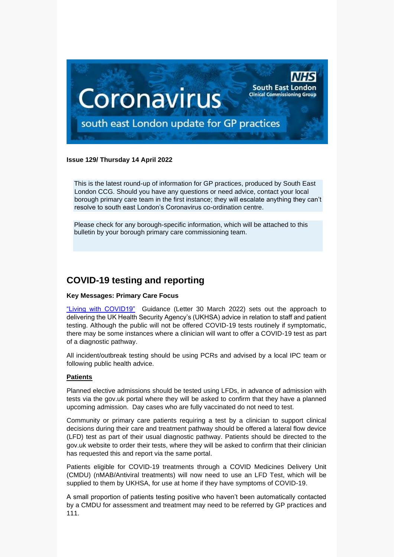

#### **Issue 129/ Thursday 14 April 2022**

This is the latest round-up of information for GP practices, produced by South East London CCG. Should you have any questions or need advice, contact your local borough primary care team in the first instance; they will escalate anything they can't resolve to south east London's Coronavirus co-ordination centre.

Please check for any borough-specific information, which will be attached to this bulletin by your borough primary care commissioning team.

# **COVID-19 testing and reporting**

#### **Key Messages: Primary Care Focus**

["Living with COVID19"](https://selondonccg.nhs.uk/wp-content/uploads/2022/03/C1621_Living-with-COVID-19-testing-update-letter_300322.pdf) Guidance (Letter 30 March 2022) sets out the approach to delivering the UK Health Security Agency's (UKHSA) advice in relation to staff and patient testing. Although the public will not be offered COVID-19 tests routinely if symptomatic, there may be some instances where a clinician will want to offer a COVID-19 test as part of a diagnostic pathway.

All incident/outbreak testing should be using PCRs and advised by a local IPC team or following public health advice.

#### **Patients**

Planned elective admissions should be tested using LFDs, in advance of admission with tests via the gov.uk portal where they will be asked to confirm that they have a planned upcoming admission. Day cases who are fully vaccinated do not need to test.

Community or primary care patients requiring a test by a clinician to support clinical decisions during their care and treatment pathway should be offered a lateral flow device (LFD) test as part of their usual diagnostic pathway. Patients should be directed to the gov.uk website to order their tests, where they will be asked to confirm that their clinician has requested this and report via the same portal.

Patients eligible for COVID-19 treatments through a COVID Medicines Delivery Unit (CMDU) (nMAB/Antiviral treatments) will now need to use an LFD Test, which will be supplied to them by UKHSA, for use at home if they have symptoms of COVID-19.

A small proportion of patients testing positive who haven't been automatically contacted by a CMDU for assessment and treatment may need to be referred by GP practices and 111.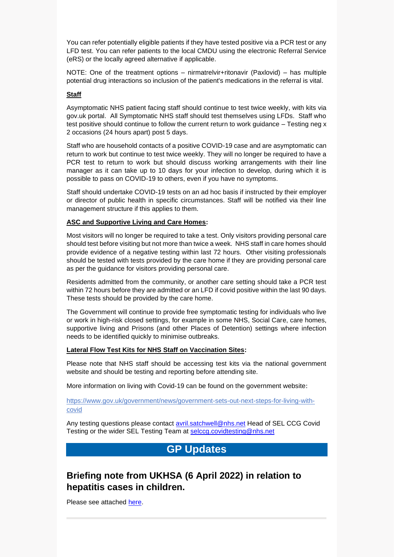You can refer potentially eligible patients if they have tested positive via a PCR test or any LFD test. You can refer patients to the local CMDU using the electronic Referral Service (eRS) or the locally agreed alternative if applicable.

NOTE: One of the treatment options – nirmatrelvir+ritonavir (Paxlovid) – has multiple potential drug interactions so inclusion of the patient's medications in the referral is vital.

#### **Staff**

Asymptomatic NHS patient facing staff should continue to test twice weekly, with kits via gov.uk portal. All Symptomatic NHS staff should test themselves using LFDs. Staff who test positive should continue to follow the current return to work guidance – Testing neg x 2 occasions (24 hours apart) post 5 days.

Staff who are household contacts of a positive COVID-19 case and are asymptomatic can return to work but continue to test twice weekly. They will no longer be required to have a PCR test to return to work but should discuss working arrangements with their line manager as it can take up to 10 days for your infection to develop, during which it is possible to pass on COVID-19 to others, even if you have no symptoms.

Staff should undertake COVID-19 tests on an ad hoc basis if instructed by their employer or director of public health in specific circumstances. Staff will be notified via their line management structure if this applies to them.

#### **ASC and Supportive Living and Care Homes:**

Most visitors will no longer be required to take a test. Only visitors providing personal care should test before visiting but not more than twice a week. NHS staff in care homes should provide evidence of a negative testing within last 72 hours. Other visiting professionals should be tested with tests provided by the care home if they are providing personal care as per the guidance for visitors providing personal care.

Residents admitted from the community, or another care setting should take a PCR test within 72 hours before they are admitted or an LFD if covid positive within the last 90 days. These tests should be provided by the care home.

The Government will continue to provide free symptomatic testing for individuals who live or work in high-risk closed settings, for example in some NHS, Social Care, care homes, supportive living and Prisons (and other Places of Detention) settings where infection needs to be identified quickly to minimise outbreaks.

#### **Lateral Flow Test Kits for NHS Staff on Vaccination Sites:**

Please note that NHS staff should be accessing test kits via the national government website and should be testing and reporting before attending site.

More information on living with Covid-19 can be found on the government website:

[https://www.gov.uk/government/news/government-sets-out-next-steps-for-living-with](https://www.gov.uk/government/news/government-sets-out-next-steps-for-living-with-covid)[covid](https://www.gov.uk/government/news/government-sets-out-next-steps-for-living-with-covid) 

Any testing questions please contact **avril.satchwell@nhs.net Head of SEL CCG Covid** Testing or the wider SEL Testing Team at [selccg.covidtesting@nhs.net](mailto:selccg.covidtesting@nhs.net)

# **GP Updates**

# **Briefing note from UKHSA (6 April 2022) in relation to hepatitis cases in children.**

Please see attached [here.](https://selondonccg.nhs.uk/wp-content/uploads/2022/04/20220406-UKHSA-BN034-Hepatitis-unknown-aetiology-v01.03.pdf)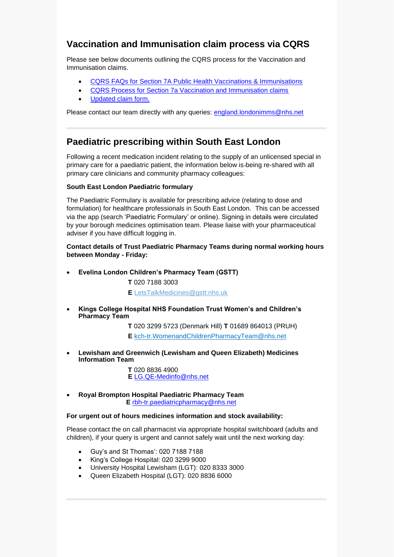# **Vaccination and Immunisation claim process via CQRS**

Please see below documents outlining the CQRS process for the Vaccination and Immunisation claims.

- [CQRS FAQs for Section 7A Public Health Vaccinations & Immunisations](https://selondonccg.nhs.uk/wp-content/uploads/2022/04/CQRS-FAQs-for-Section-7A-Public-Health-Vacs-and-Imms-V2.docx)
- [CQRS Process for Section 7a Vaccination and Immunisation claims](https://selondonccg.nhs.uk/wp-content/uploads/2022/04/CQRS-Process-for-Section-7A-Public-Health-Vacs-and-Imms-V2.docx)
- [Updated claim form.](https://selondonccg.nhs.uk/wp-content/uploads/2022/04/NHS-Immunisation-Payments-Query-Form.docx)

Please contact our team directly with any queries: [england.londonimms@nhs.net](mailto:england.londonimms@nhs.net)

# **Paediatric prescribing within South East London**

Following a recent medication incident relating to the supply of an unlicensed special in primary care for a paediatric patient, the information below is being re-shared with all primary care clinicians and community pharmacy colleagues:

#### **South East London Paediatric formulary**

The Paediatric Formulary is available for prescribing advice (relating to dose and formulation) for healthcare professionals in South East London. This can be accessed via the app (search 'Paediatric Formulary' or online). Signing in details were circulated by your borough medicines optimisation team. Please liaise with your pharmaceutical adviser if you have difficult logging in.

**Contact details of Trust Paediatric Pharmacy Teams during normal working hours between Monday - Friday:**

• **Evelina London Children's Pharmacy Team (GSTT)**

**T** 020 7188 3003

**E** [LetsTalkMedicines@gstt.nhs.uk](mailto:LetsTalkMedicines@gstt.nhs.uk)

• **Kings College Hospital NHS Foundation Trust Women's and Children's Pharmacy Team**

**T** 020 3299 5723 (Denmark Hill) **T** 01689 864013 (PRUH)

**E** [kch-tr.WomenandChildrenPharmacyTeam@nhs.net](mailto:kch-tr.WomenandChildrenPharmacyTeam@nhs.net)

• **Lewisham and Greenwich (Lewisham and Queen Elizabeth) Medicines Information Team**

> **T** 020 8836 4900 **E** [LG.QE-Medinfo@nhs.net](mailto:LG.QE-Medinfo@nhs.net)

• **Royal Brompton Hospital Paediatric Pharmacy Team E** [rbh-tr.paediatricpharmacy@nhs.net](mailto:rbh-tr.paediatricpharmacy@nhs.net)

#### **For urgent out of hours medicines information and stock availability:**

Please contact the on call pharmacist via appropriate hospital switchboard (adults and children), if your query is urgent and cannot safely wait until the next working day:

- Guy's and St Thomas': 020 7188 7188
- King's College Hospital: 020 3299 9000
- University Hospital Lewisham (LGT): 020 8333 3000
- Queen Elizabeth Hospital (LGT): 020 8836 6000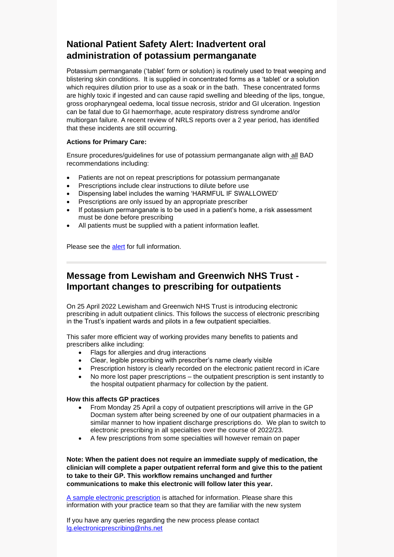# **National Patient Safety Alert: Inadvertent oral administration of potassium permanganate**

Potassium permanganate ('tablet' form or solution) is routinely used to treat weeping and blistering skin conditions. It is supplied in concentrated forms as a 'tablet' or a solution which requires dilution prior to use as a soak or in the bath. These concentrated forms are highly toxic if ingested and can cause rapid swelling and bleeding of the lips, tongue, gross oropharyngeal oedema, local tissue necrosis, stridor and GI ulceration. Ingestion can be fatal due to GI haemorrhage, acute respiratory distress syndrome and/or multiorgan failure. A recent review of NRLS reports over a 2 year period, has identified that these incidents are still occurring.

#### **Actions for Primary Care:**

Ensure procedures/guidelines for use of potassium permanganate align with all BAD recommendations including:

- Patients are not on repeat prescriptions for potassium permanganate
- Prescriptions include clear instructions to dilute before use
- Dispensing label includes the warning 'HARMFUL IF SWALLOWED'
- Prescriptions are only issued by an appropriate prescriber
- If potassium permanganate is to be used in a patient's home, a risk assessment must be done before prescribing
- All patients must be supplied with a patient information leaflet.

Please see the [alert](https://www.cas.mhra.gov.uk/ViewAndAcknowledgment/viewAttachment.aspx?Attachment_id=103992) for full information.

# **Message from Lewisham and Greenwich NHS Trust - Important changes to prescribing for outpatients**

On 25 April 2022 Lewisham and Greenwich NHS Trust is introducing electronic prescribing in adult outpatient clinics. This follows the success of electronic prescribing in the Trust's inpatient wards and pilots in a few outpatient specialties.

This safer more efficient way of working provides many benefits to patients and prescribers alike including:

- Flags for allergies and drug interactions
- Clear, legible prescribing with prescriber's name clearly visible
- Prescription history is clearly recorded on the electronic patient record in iCare
- No more lost paper prescriptions the outpatient prescription is sent instantly to the hospital outpatient pharmacy for collection by the patient.

#### **How this affects GP practices**

- From Monday 25 April a copy of outpatient prescriptions will arrive in the GP Docman system after being screened by one of our outpatient pharmacies in a similar manner to how inpatient discharge prescriptions do. We plan to switch to electronic prescribing in all specialties over the course of 2022/23.
- A few prescriptions from some specialties will however remain on paper

**Note: When the patient does not require an immediate supply of medication, the clinician will complete a paper outpatient referral form and give this to the patient to take to their GP. This workflow remains unchanged and further communications to make this electronic will follow later this year.**

[A sample electronic prescription](https://selondonccg.nhs.uk/wp-content/uploads/2022/04/Example-Outpatient-Prescription.pdf) is attached for information. Please share this information with your practice team so that they are familiar with the new system

If you have any queries regarding the new process please contact [lg.electronicprescribing@nhs.net](mailto:lg.electronicprescribing@nhs.net)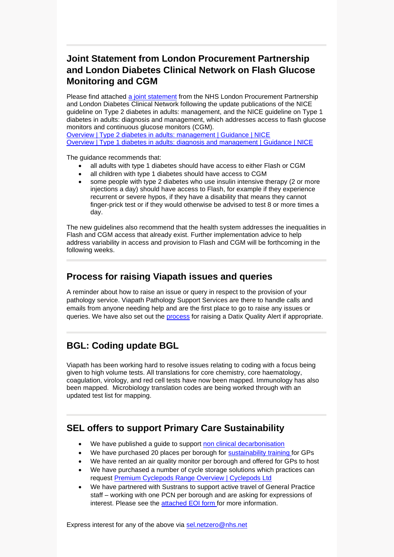# **Joint Statement from London Procurement Partnership and London Diabetes Clinical Network on Flash Glucose Monitoring and CGM**

Please find attached [a joint statement](https://selondonccg.nhs.uk/wp-content/uploads/2022/04/Statement_NICE-Guidance_Flash-Glucose-Monitoring-and-CGM_March-2022rg-approved_1.0.docx) from the NHS London Procurement Partnership and London Diabetes Clinical Network following the update publications of the NICE guideline on Type 2 diabetes in adults: management, and the NICE guideline on Type 1 diabetes in adults: diagnosis and management, which addresses access to flash glucose monitors and continuous glucose monitors (CGM).

[Overview | Type 2 diabetes in adults: management | Guidance | NICE](https://www.nice.org.uk/guidance/ng28) [Overview | Type 1 diabetes in adults: diagnosis and management | Guidance | NICE](https://www.nice.org.uk/guidance/ng17)

The guidance recommends that:

- all adults with type 1 diabetes should have access to either Flash or CGM
- all children with type 1 diabetes should have access to CGM
- some people with type 2 diabetes who use insulin intensive therapy (2 or more injections a day) should have access to Flash, for example if they experience recurrent or severe hypos, if they have a disability that means they cannot finger-prick test or if they would otherwise be advised to test 8 or more times a day.

The new guidelines also recommend that the health system addresses the inequalities in Flash and CGM access that already exist. Further implementation advice to help address variability in access and provision to Flash and CGM will be forthcoming in the following weeks.

### **Process for raising Viapath issues and queries**

A reminder about how to raise an issue or query in respect to the provision of your pathology service. Viapath Pathology Support Services are there to handle calls and emails from anyone needing help and are the first place to go to raise any issues or queries. We have also set out the [process](https://view.officeapps.live.com/op/view.aspx?src=https%3A%2F%2Fselondonccg.nhs.uk%2Fwp-content%2Fuploads%2F2022%2F04%2FViapath-Issues-Queries-Process-April-2022.pptx&wdOrigin=BROWSELINK) for raising a Datix Quality Alert if appropriate.

# **BGL: Coding update BGL**

Viapath has been working hard to resolve issues relating to coding with a focus being given to high volume tests. All translations for core chemistry, core haematology, coagulation, virology, and red cell tests have now been mapped. Immunology has also been mapped. Microbiology translation codes are being worked through with an updated test list for mapping.

# **SEL offers to support Primary Care Sustainability**

- We have published a guide to support [non clinical decarbonisation](https://selondonccg.nhs.uk/wp-content/uploads/2022/03/SEL-ICS-Decarbonising-primary-care-guide.pdf)
- We have purchased 20 places per borough for [sustainability training f](https://sustainablehealthcare.org.uk/courses/introduction-sustainable-healthcare)or GPs
- We have rented an air quality monitor per borough and offered for GPs to host
- We have purchased a number of cycle storage solutions which practices can request [Premium Cyclepods](https://www.cyclepods.co.uk/pod-range/) [Range Overview | Cyclepods](https://www.cyclepods.co.uk/pod-range/) [Ltd](https://www.cyclepods.co.uk/pod-range/)
- We have partnered with Sustrans to support active travel of General Practice staff – working with one PCN per borough and are asking for expressions of interest. Please see the [attached EOI form f](https://selondonccg.nhs.uk/wp-content/uploads/2022/04/Active-Travel-EOI-for-Sustrans-Work-FINAL.docx)or more information.

Express interest for any of the above via [sel.netzero@nhs.net](mailto:sel.netzero@nhs.net)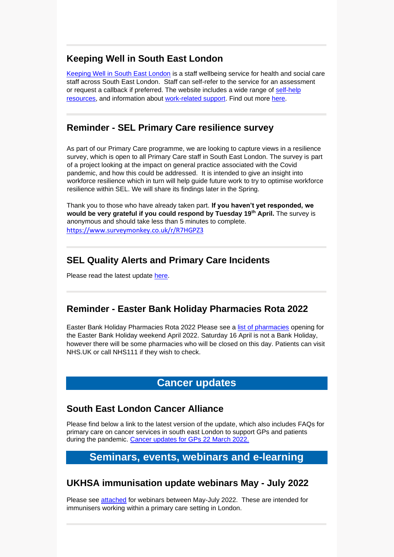# **Keeping Well in South East London**

[Keeping Well in South East London](https://www.keepingwellsel.nhs.uk/) is a staff wellbeing service for health and social care staff across South East London. Staff can self-refer to the service for an assessment or request a callback if preferred. The website includes a wide range of [self-help](https://www.keepingwellsel.nhs.uk/information-and-resources)  [resources,](https://www.keepingwellsel.nhs.uk/information-and-resources) and information about [work-related support.](https://www.keepingwellsel.nhs.uk/work-related-support) Find out more [here.](https://selondonccg.nhs.uk/wp-content/uploads/2022/04/KWSEL-Support-Offers-Overview_.pdf)

# **Reminder - SEL Primary Care resilience survey**

As part of our Primary Care programme, we are looking to capture views in a resilience survey, which is open to all Primary Care staff in South East London. The survey is part of a project looking at the impact on general practice associated with the Covid pandemic, and how this could be addressed. It is intended to give an insight into workforce resilience which in turn will help guide future work to try to optimise workforce resilience within SEL. We will share its findings later in the Spring.

Thank you to those who have already taken part. **If you haven't yet responded, we would be very grateful if you could respond by Tuesday 19th April.** The survey is anonymous and should take less than 5 minutes to complete. <https://www.surveymonkey.co.uk/r/R7HGPZ3>

### **SEL Quality Alerts and Primary Care Incidents**

Please read the latest update [here.](https://selondonccg.nhs.uk/wp-content/uploads/2022/04/SEL-Quality-Alerts-and-Primary-Care-Incidents.docx)

#### **Reminder - Easter Bank Holiday Pharmacies Rota 2022**

Easter Bank Holiday Pharmacies Rota 2022 Please see a [list of pharmacies](https://selondonccg.nhs.uk/news/london-pharmacy-opening-hours-for-easter-2022/) opening for the Easter Bank Holiday weekend April 2022. Saturday 16 April is not a Bank Holiday, however there will be some pharmacies who will be closed on this day. Patients can visit NHS.UK or call NHS111 if they wish to check.

## **Cancer updates**

### **South East London Cancer Alliance**

Please find below a link to the latest version of the update, which also includes FAQs for primary care on cancer services in south east London to support GPs and patients during the pandemic. [Cancer updates for GPs 22](https://selondonccg.nhs.uk/wp-content/uploads/2022/03/SEL-Cancer-Updates-FAQs-for-Primary-Care-23-Mar-2022.pdf) March 2022.

# **Seminars, events, webinars and e-learning**

### **UKHSA immunisation update webinars May - July 2022**

Please see [attached](https://selondonccg.nhs.uk/wp-content/uploads/2022/04/Imms-Webinar-Flyer-May-July-2022.pdf) for webinars between May-July 2022. These are intended for immunisers working within a primary care setting in London.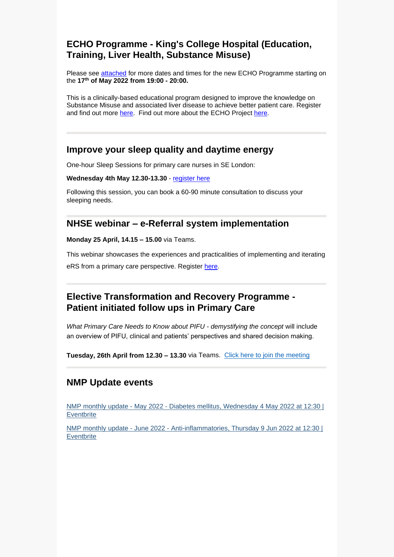# **ECHO Programme - King's College Hospital (Education, Training, Liver Health, Substance Misuse)**

Please see [attached](https://selondonccg.nhs.uk/wp-content/uploads/2022/04/Substance-Misuse-and-Liver-Disease-ECHO-Programme.pdf) for more dates and times for the new ECHO Programme starting on the **17th of May 2022 from 19:00 - 20:00.** 

This is a clinically-based educational program designed to improve the knowledge on Substance Misuse and associated liver disease to achieve better patient care. Register and find out more [here.](https://www.surveymonkey.co.uk/r/XRGL3R8) Find out more about the ECHO Project [here.](https://www.youtube.com/watch?v=Faz3O1clDMU)

### **Improve your sleep quality and daytime energy**

One-hour Sleep Sessions for primary care nurses in SE London:

**Wednesday 4th May 12.30-13.30** - [register here](https://buytickets.at/greenwichhealthtraininghub/674998) 

Following this session, you can book a 60-90 minute consultation to discuss your sleeping needs.

### **NHSE webinar – e-Referral system implementation**

**Monday 25 April, 14.15 – 15.00** via Teams.

This webinar showcases the experiences and practicalities of implementing and iterating eRS from a primary care perspective. Register [here.](https://www.events.england.nhs.uk/events/implementing-and-iterating-the-use-of-ers-for-advice-and-guidance)

# **Elective Transformation and Recovery Programme - Patient initiated follow ups in Primary Care**

*What Primary Care Needs to Know about PIFU - demystifying the concept* will include an overview of PIFU, clinical and patients' perspectives and shared decision making.

**Tuesday, 26th April from 12.30 – 13.30** via Teams. [Click here to join the](https://londoncommunications.cmail19.com/t/d-l-ffitll-iysitktyh-r/) meeting

# **NMP Update events**

[NMP monthly update -](https://www.eventbrite.co.uk/e/nmp-monthly-update-may-2022-diabetes-mellitus-tickets-207420388967) May 2022 - Diabetes mellitus, Wednesday 4 May 2022 at 12:30 | **[Eventbrite](https://www.eventbrite.co.uk/e/nmp-monthly-update-may-2022-diabetes-mellitus-tickets-207420388967)** 

NMP monthly update - June 2022 - [Anti-inflammatories, Thursday](https://www.eventbrite.co.uk/e/nmp-monthly-update-june-2022-anti-inflammatories-tickets-207425755017) 9 Jun 2022 at 12:30 | **[Eventbrite](https://www.eventbrite.co.uk/e/nmp-monthly-update-june-2022-anti-inflammatories-tickets-207425755017)**